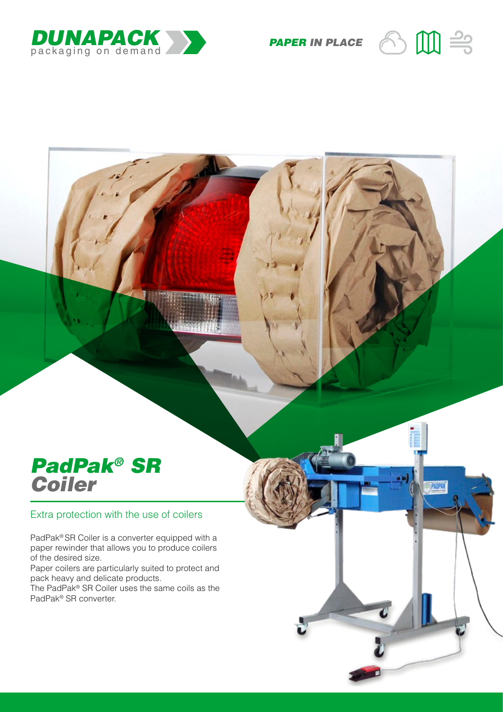

**PAPER IN PLACE**  $\bigodot$   $\begin{bmatrix} \begin{matrix} 1 \end{matrix} \end{bmatrix} \begin{matrix} \begin{matrix} 2 \end{matrix} \end{matrix}$ 

**PADPA** 

## *PadPak® SR Coiler*

## Extra protection with the use of coilers

PadPak® SR Coiler is a converter equipped with a paper rewinder that allows you to produce coilers of the desired size.

Paper coilers are particularly suited to protect and pack heavy and delicate products.

The PadPak® SR Coiler uses the same coils as the PadPak® SR converter.